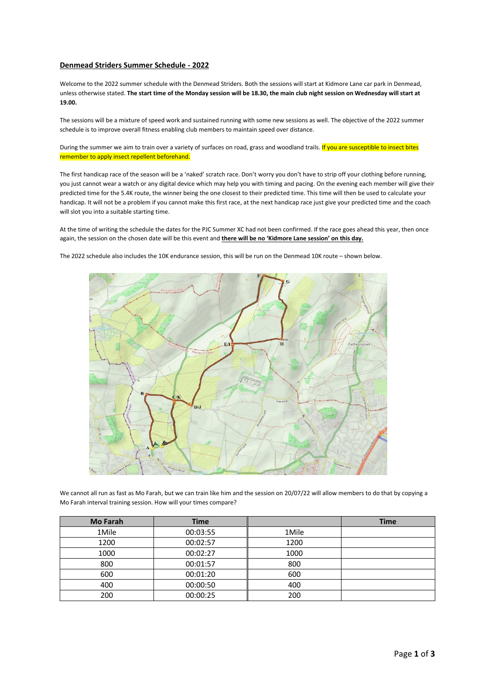## **Denmead Striders Summer Schedule - 2022**

Welcome to the 2022 summer schedule with the Denmead Striders. Both the sessions will start at Kidmore Lane car park in Denmead, unless otherwise stated. **The start time of the Monday session will be 18.30, the main club night session on Wednesday will start at 19.00.**

The sessions will be a mixture of speed work and sustained running with some new sessions as well. The objective of the 2022 summer schedule is to improve overall fitness enabling club members to maintain speed over distance.

During the summer we aim to train over a variety of surfaces on road, grass and woodland trails. If you are susceptible to insect bites remember to apply insect repellent beforehand.

The first handicap race of the season will be a 'naked' scratch race. Don't worry you don't have to strip off your clothing before running, you just cannot wear a watch or any digital device which may help you with timing and pacing. On the evening each member will give their predicted time for the 5.4K route, the winner being the one closest to their predicted time. This time will then be used to calculate your handicap. It will not be a problem if you cannot make this first race, at the next handicap race just give your predicted time and the coach will slot you into a suitable starting time.

At the time of writing the schedule the dates for the PJC Summer XC had not been confirmed. If the race goes ahead this year, then once again, the session on the chosen date will be this event and **there will be no 'Kidmore Lane session' on this day.**

The 2022 schedule also includes the 10K endurance session, this will be run on the Denmead 10K route – shown below.



We cannot all run as fast as Mo Farah, but we can train like him and the session on 20/07/22 will allow members to do that by copying a Mo Farah interval training session. How will your times compare?

| <b>Mo Farah</b> | <b>Time</b> |       | <b>Time</b> |
|-----------------|-------------|-------|-------------|
| 1Mile           | 00:03:55    | 1Mile |             |
| 1200            | 00:02:57    | 1200  |             |
| 1000            | 00:02:27    | 1000  |             |
| 800             | 00:01:57    | 800   |             |
| 600             | 00:01:20    | 600   |             |
| 400             | 00:00:50    | 400   |             |
| 200             | 00:00:25    | 200   |             |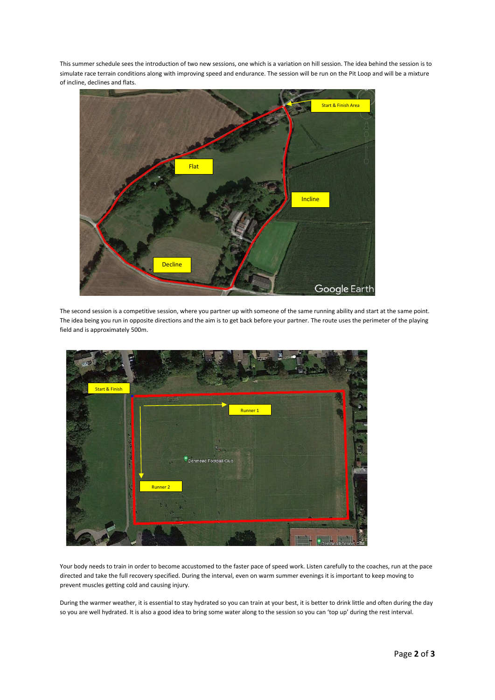This summer schedule sees the introduction of two new sessions, one which is a variation on hill session. The idea behind the session is to simulate race terrain conditions along with improving speed and endurance. The session will be run on the Pit Loop and will be a mixture of incline, declines and flats.



The second session is a competitive session, where you partner up with someone of the same running ability and start at the same point. The idea being you run in opposite directions and the aim is to get back before your partner. The route uses the perimeter of the playing field and is approximately 500m.



Your body needs to train in order to become accustomed to the faster pace of speed work. Listen carefully to the coaches, run at the pace directed and take the full recovery specified. During the interval, even on warm summer evenings it is important to keep moving to prevent muscles getting cold and causing injury.

During the warmer weather, it is essential to stay hydrated so you can train at your best, it is better to drink little and often during the day so you are well hydrated. It is also a good idea to bring some water along to the session so you can 'top up' during the rest interval.